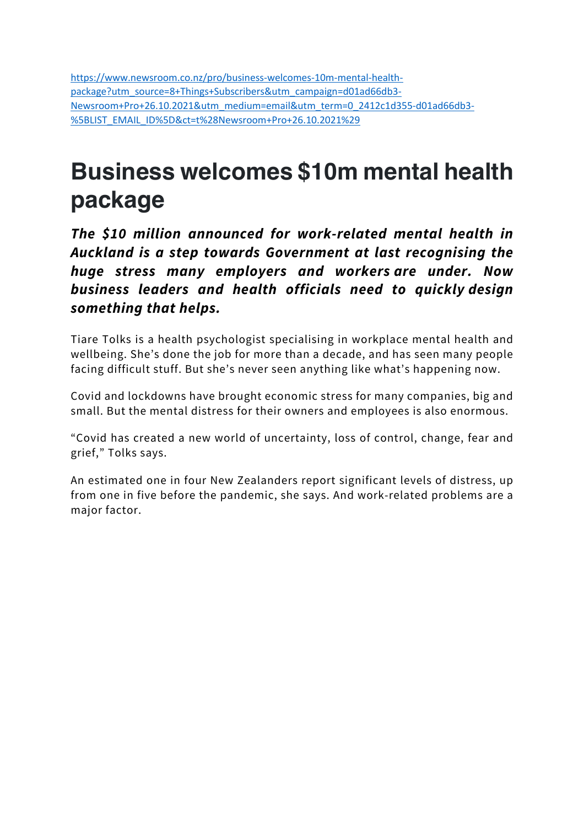https://www.newsroom.co.nz/pro/business-welcomes-10m-mental-healthpackage?utm\_source=8+Things+Subscribers&utm\_campaign=d01ad66db3- Newsroom+Pro+26.10.2021&utm\_medium=email&utm\_term=0\_2412c1d355-d01ad66db3- %5BLIST\_EMAIL\_ID%5D&ct=t%28Newsroom+Pro+26.10.2021%29

# **Business welcomes \$10m mental health package**

*The \$10 million announced for work-related mental health in Auckland is a step towards Government at last recognising the huge stress many employers and workers are under. Now business leaders and health officials need to quickly design something that helps.*

Tiare Tolks is a health psychologist specialising in workplace mental health and wellbeing. She's done the job for more than a decade, and has seen many people facing difficult stuff. But she's never seen anything like what's happening now.

Covid and lockdowns have brought economic stress for many companies, big and small. But the mental distress for their owners and employees is also enormous.

"Covid has created a new world of uncertainty, loss of control, change, fear and grief," Tolks says.

An estimated one in four New Zealanders report significant levels of distress, up from one in five before the pandemic, she says. And work-related problems are a major factor.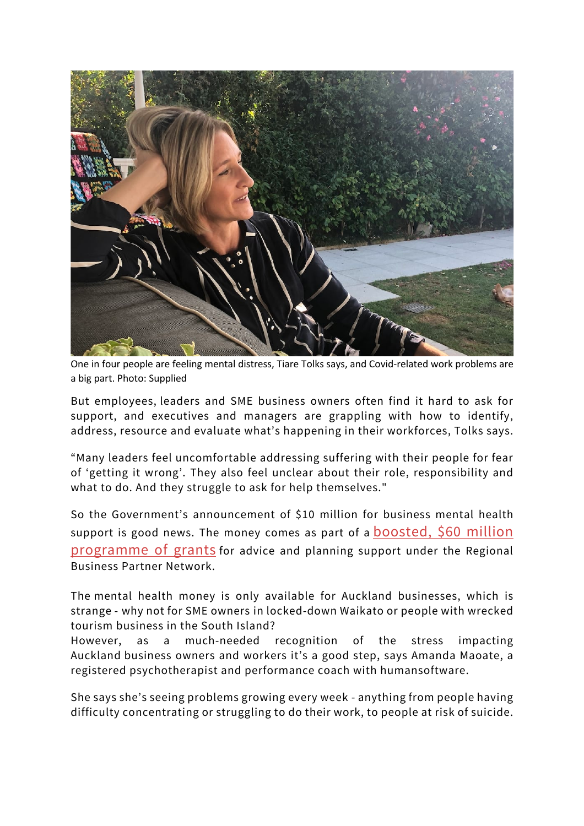

One in four people are feeling mental distress, Tiare Tolks says, and Covid-related work problems are a big part. Photo: Supplied

But employees, leaders and SME business owners often find it hard to ask for support, and executives and managers are grappling with how to identify, address, resource and evaluate what's happening in their workforces, Tolks says.

"Many leaders feel uncomfortable addressing suffering with their people for fear of 'getting it wrong'. They also feel unclear about their role, responsibility and what to do. And they struggle to ask for help themselves."

So the Government's announcement of \$10 million for business mental health support is good news. The money comes as part of a **boosted**, \$60 million programme of grants for advice and planning support under the Regional Business Partner Network.

The mental health money is only available for Auckland businesses, which is strange - why not for SME owners in locked-down Waikato or people with wrecked tourism business in the South Island?

However, as a much-needed recognition of the stress impacting Auckland business owners and workers it's a good step, says Amanda Maoate, a registered psychotherapist and performance coach with humansoftware.

She says she's seeing problems growing every week - anything from people having difficulty concentrating or struggling to do their work, to people at risk of suicide.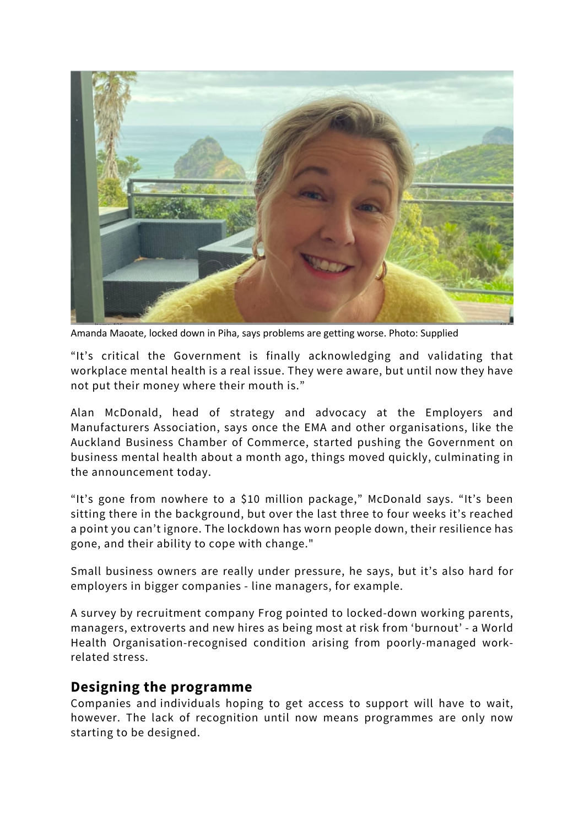

Amanda Maoate, locked down in Piha, says problems are getting worse. Photo: Supplied

"It's critical the Government is finally acknowledging and validating that workplace mental health is a real issue. They were aware, but until now they have not put their money where their mouth is."

Alan McDonald, head of strategy and advocacy at the Employers and Manufacturers Association, says once the EMA and other organisations, like the Auckland Business Chamber of Commerce, started pushing the Government on business mental health about a month ago, things moved quickly, culminating in the announcement today.

"It's gone from nowhere to a \$10 million package," McDonald says. "It's been sitting there in the background, but over the last three to four weeks it's reached a point you can't ignore. The lockdown has worn people down, their resilience has gone, and their ability to cope with change."

Small business owners are really under pressure, he says, but it's also hard for employers in bigger companies - line managers, for example.

A survey by recruitment company Frog pointed to locked-down working parents, managers, extroverts and new hires as being most at risk from 'burnout' - a World Health Organisation-recognised condition arising from poorly-managed workrelated stress.

#### **Designing the programme**

Companies and individuals hoping to get access to support will have to wait, however. The lack of recognition until now means programmes are only now starting to be designed.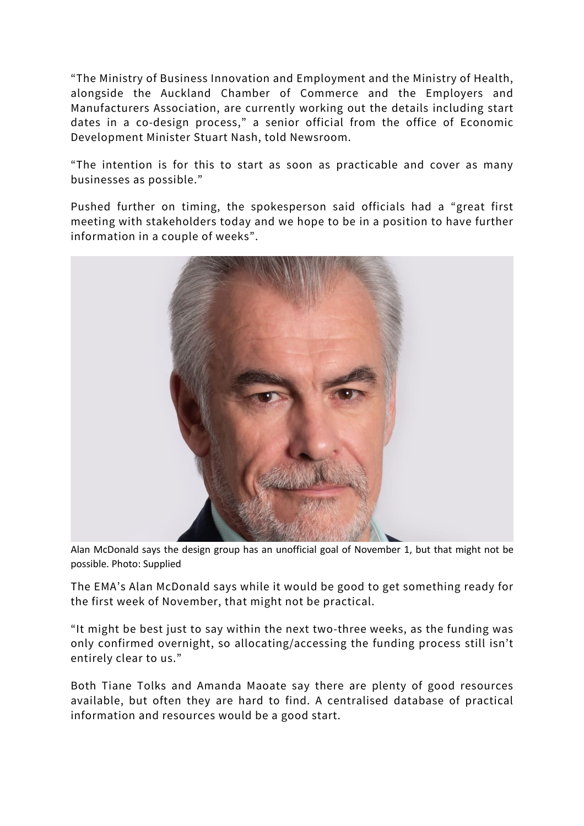"The Ministry of Business Innovation and Employment and the Ministry of Health, alongside the Auckland Chamber of Commerce and the Employers and Manufacturers Association, are currently working out the details including start dates in a co-design process," a senior official from the office of Economic Development Minister Stuart Nash, told Newsroom.

"The intention is for this to start as soon as practicable and cover as many businesses as possible."

Pushed further on timing, the spokesperson said officials had a "great first meeting with stakeholders today and we hope to be in a position to have further information in a couple of weeks".



Alan McDonald says the design group has an unofficial goal of November 1, but that might not be possible. Photo: Supplied

The EMA's Alan McDonald says while it would be good to get something ready for the first week of November, that might not be practical.

"It might be best just to say within the next two-three weeks, as the funding was only confirmed overnight, so allocating/accessing the funding process still isn't entirely clear to us."

Both Tiane Tolks and Amanda Maoate say there are plenty of good resources available, but often they are hard to find. A centralised database of practical information and resources would be a good start.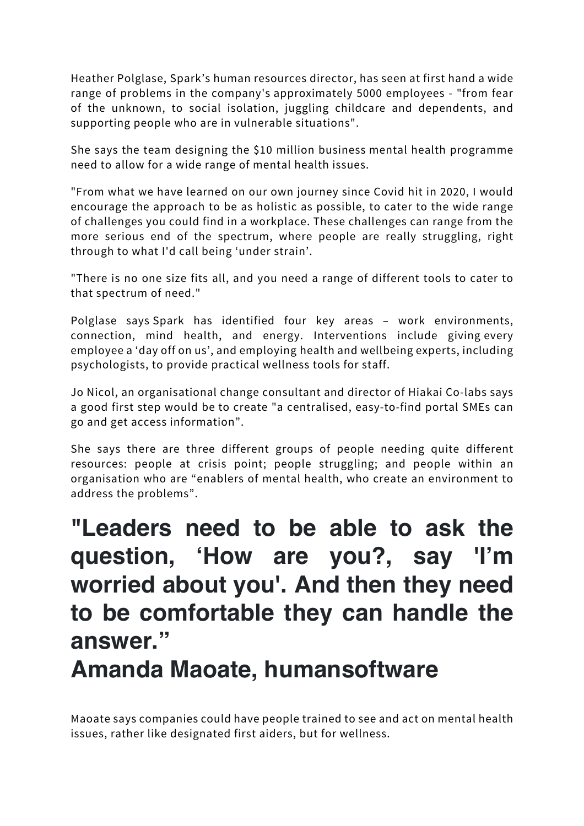Heather Polglase, Spark's human resources director, has seen at first hand a wide range of problems in the company's approximately 5000 employees - "from fear of the unknown, to social isolation, juggling childcare and dependents, and supporting people who are in vulnerable situations".

She says the team designing the \$10 million business mental health programme need to allow for a wide range of mental health issues.

"From what we have learned on our own journey since Covid hit in 2020, I would encourage the approach to be as holistic as possible, to cater to the wide range of challenges you could find in a workplace. These challenges can range from the more serious end of the spectrum, where people are really struggling, right through to what I'd call being 'under strain'.

"There is no one size fits all, and you need a range of different tools to cater to that spectrum of need."

Polglase says Spark has identified four key areas – work environments, connection, mind health, and energy. Interventions include giving every employee a 'day off on us', and employing health and wellbeing experts, including psychologists, to provide practical wellness tools for staff.

Jo Nicol, an organisational change consultant and director of Hiakai Co-labs says a good first step would be to create "a centralised, easy-to-find portal SMEs can go and get access information".

She says there are three different groups of people needing quite different resources: people at crisis point; people struggling; and people within an organisation who are "enablers of mental health, who create an environment to address the problems".

## **"Leaders need to be able to ask the question, 'How are you?, say 'I'm worried about you'. And then they need to be comfortable they can handle the answer."**

### **Amanda Maoate, humansoftware**

Maoate says companies could have people trained to see and act on mental health issues, rather like designated first aiders, but for wellness.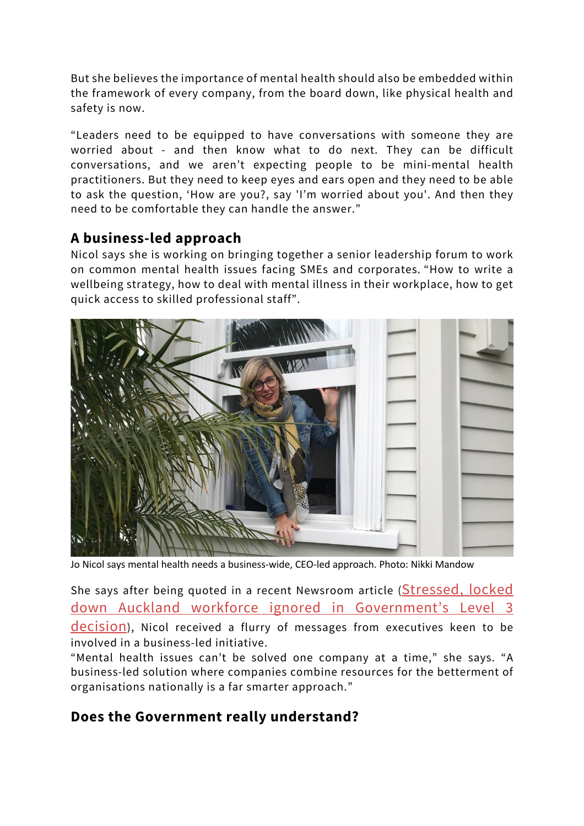But she believes the importance of mental health should also be embedded within the framework of every company, from the board down, like physical health and safety is now.

"Leaders need to be equipped to have conversations with someone they are worried about - and then know what to do next. They can be difficult conversations, and we aren't expecting people to be mini-mental health practitioners. But they need to keep eyes and ears open and they need to be able to ask the question, 'How are you?, say 'I'm worried about you'. And then they need to be comfortable they can handle the answer."

### **A business-led approach**

Nicol says she is working on bringing together a senior leadership forum to work on common mental health issues facing SMEs and corporates. "How to write a wellbeing strategy, how to deal with mental illness in their workplace, how to get quick access to skilled professional staff".



Jo Nicol says mental health needs a business-wide, CEO-led approach. Photo: Nikki Mandow

She says after being quoted in a recent Newsroom article (Stressed, locked down Auckland workforce ignored in Government's Level 3 decision), Nicol received a flurry of messages from executives keen to be involved in a business-led initiative.

"Mental health issues can't be solved one company at a time," she says. "A business-led solution where companies combine resources for the betterment of organisations nationally is a far smarter approach."

### **Does the Government really understand?**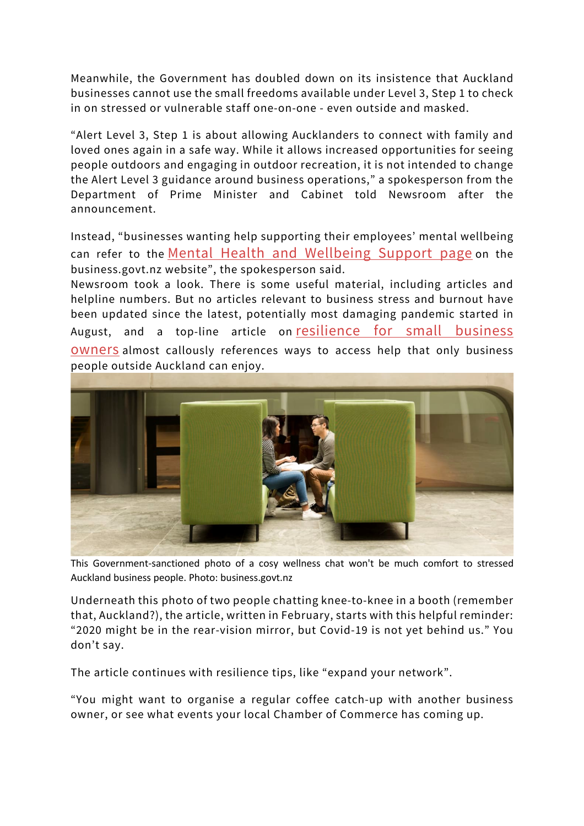Meanwhile, the Government has doubled down on its insistence that Auckland businesses cannot use the small freedoms available under Level 3, Step 1 to check in on stressed or vulnerable staff one-on-one - even outside and masked.

"Alert Level 3, Step 1 is about allowing Aucklanders to connect with family and loved ones again in a safe way. While it allows increased opportunities for seeing people outdoors and engaging in outdoor recreation, it is not intended to change the Alert Level 3 guidance around business operations," a spokesperson from the Department of Prime Minister and Cabinet told Newsroom after the announcement.

Instead, "businesses wanting help supporting their employees' mental wellbeing can refer to the Mental Health and Wellbeing Support page on the business.govt.nz website", the spokesperson said.

Newsroom took a look. There is some useful material, including articles and helpline numbers. But no articles relevant to business stress and burnout have been updated since the latest, potentially most damaging pandemic started in August, and a top-line article on resilience for small business owners almost callously references ways to access help that only business people outside Auckland can enjoy.



This Government-sanctioned photo of a cosy wellness chat won't be much comfort to stressed Auckland business people. Photo: business.govt.nz

Underneath this photo of two people chatting knee-to-knee in a booth (remember that, Auckland?), the article, written in February, starts with this helpful reminder: "2020 might be in the rear-vision mirror, but Covid-19 is not yet behind us." You don't say.

The article continues with resilience tips, like "expand your network".

"You might want to organise a regular coffee catch-up with another business owner, or see what events your local Chamber of Commerce has coming up.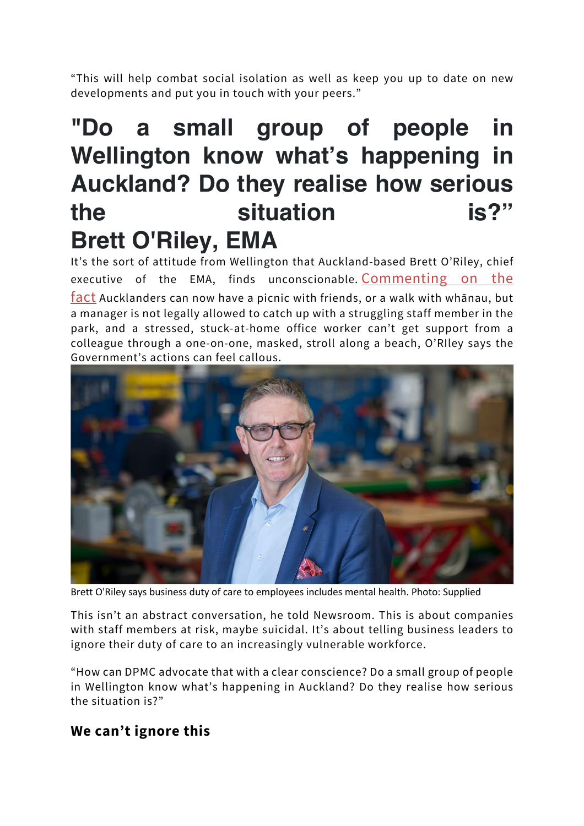"This will help combat social isolation as well as keep you up to date on new developments and put you in touch with your peers."

# **"Do a small group of people in Wellington know what's happening in Auckland? Do they realise how serious the situation is?" Brett O'Riley, EMA**

It's the sort of attitude from Wellington that Auckland-based Brett O'Riley, chief executive of the EMA, finds unconscionable. Commenting on the fact Aucklanders can now have a picnic with friends, or a walk with whānau, but a manager is not legally allowed to catch up with a struggling staff member in the park, and a stressed, stuck-at-home office worker can't get support from a colleague through a one-on-one, masked, stroll along a beach, O'RIley says the Government's actions can feel callous.



Brett O'Riley says business duty of care to employees includes mental health. Photo: Supplied

This isn't an abstract conversation, he told Newsroom. This is about companies with staff members at risk, maybe suicidal. It's about telling business leaders to ignore their duty of care to an increasingly vulnerable workforce.

"How can DPMC advocate that with a clear conscience? Do a small group of people in Wellington know what's happening in Auckland? Do they realise how serious the situation is?"

### **We can't ignore this**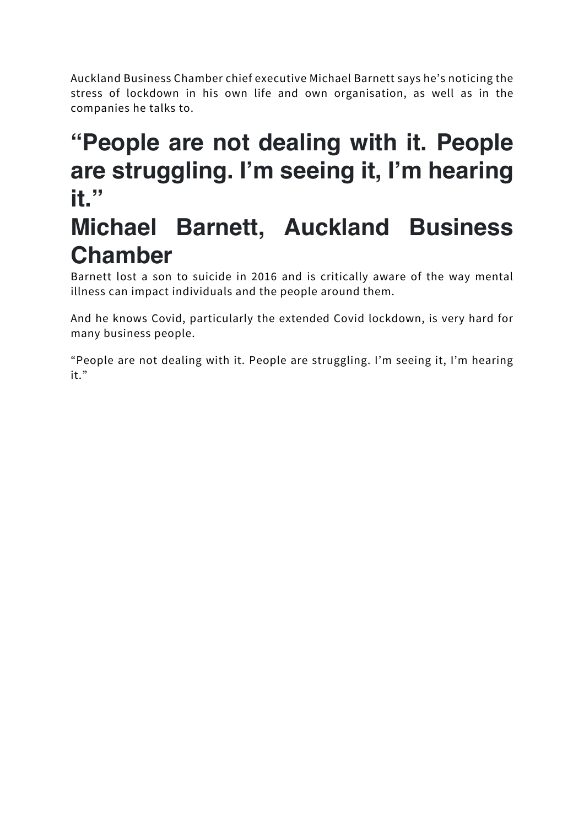Auckland Business Chamber chief executive Michael Barnett says he's noticing the stress of lockdown in his own life and own organisation, as well as in the companies he talks to.

### **"People are not dealing with it. People are struggling. I'm seeing it, I'm hearing it."**

### **Michael Barnett, Auckland Business Chamber**

Barnett lost a son to suicide in 2016 and is critically aware of the way mental illness can impact individuals and the people around them.

And he knows Covid, particularly the extended Covid lockdown, is very hard for many business people.

"People are not dealing with it. People are struggling. I'm seeing it, I'm hearing it."